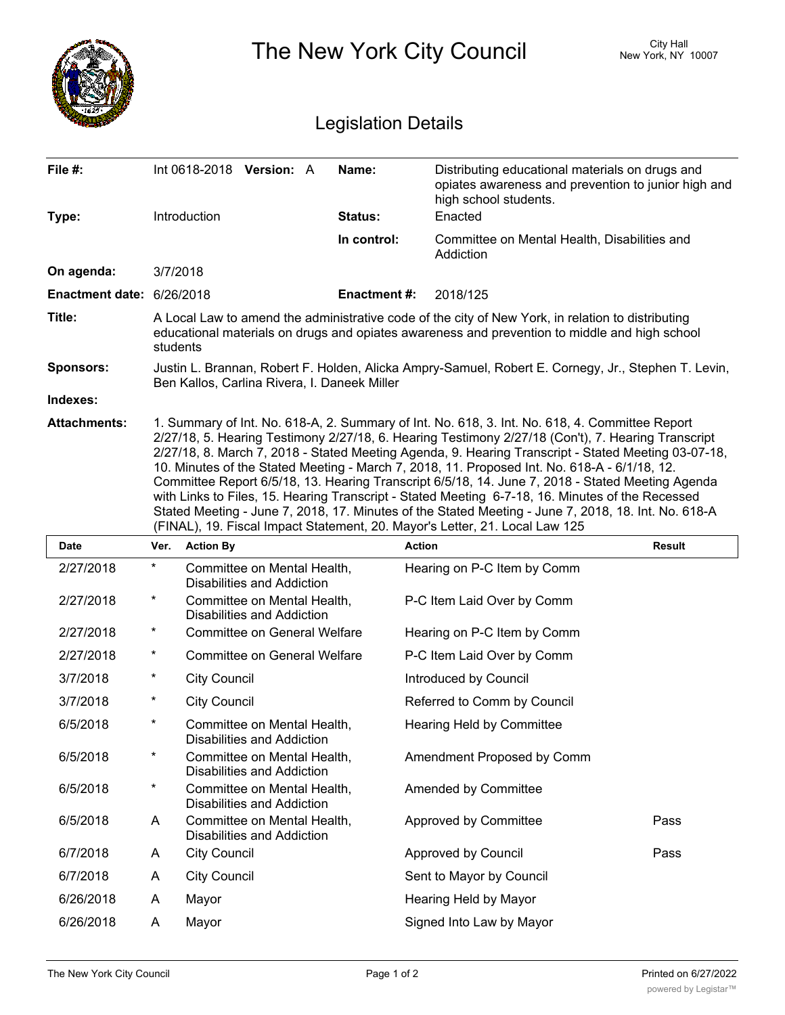